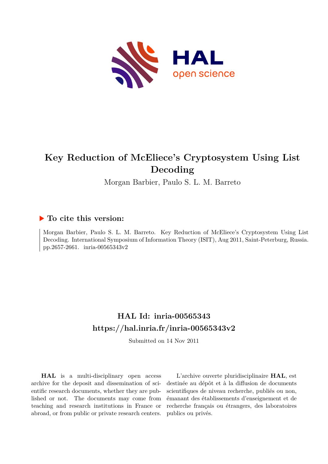

# **Key Reduction of McEliece's Cryptosystem Using List Decoding**

Morgan Barbier, Paulo S. L. M. Barreto

## **To cite this version:**

Morgan Barbier, Paulo S. L. M. Barreto. Key Reduction of McEliece's Cryptosystem Using List Decoding. International Symposium of Information Theory (ISIT), Aug 2011, Saint-Peterburg, Russia. pp.2657-2661. inria-00565343v2

## **HAL Id: inria-00565343 <https://hal.inria.fr/inria-00565343v2>**

Submitted on 14 Nov 2011

**HAL** is a multi-disciplinary open access archive for the deposit and dissemination of scientific research documents, whether they are published or not. The documents may come from teaching and research institutions in France or abroad, or from public or private research centers.

L'archive ouverte pluridisciplinaire **HAL**, est destinée au dépôt et à la diffusion de documents scientifiques de niveau recherche, publiés ou non, émanant des établissements d'enseignement et de recherche français ou étrangers, des laboratoires publics ou privés.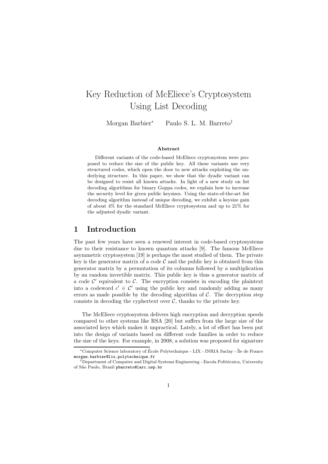## Key Reduction of McEliece's Cryptosystem Using List Decoding

Morgan Barbier<sup>∗</sup> Paulo S. L. M. Barreto†

#### Abstract

Different variants of the code-based McEliece cryptosystem were proposed to reduce the size of the public key. All these variants use very structured codes, which open the door to new attacks exploiting the underlying structure. In this paper, we show that the dyadic variant can be designed to resist all known attacks. In light of a new study on list decoding algorithms for binary Goppa codes, we explain how to increase the security level for given public keysizes. Using the state-of-the-art list decoding algorithm instead of unique decoding, we exhibit a keysize gain of about 4% for the standard McEliece cryptosystem and up to 21% for the adjusted dyadic variant.

#### 1 Introduction

The past few years have seen a renewed interest in code-based cryptosystems due to their resistance to known quantum attacks [9]. The famous McEliece asymmetric cryptosystem [19] is perhaps the most studied of them. The private key is the generator matrix of a code  $\mathcal C$  and the public key is obtained from this generator matrix by a permutation of its columns followed by a multiplication by an random invertible matrix. This public key is thus a generator matrix of  $\alpha$  code  $\mathcal{C}'$  equivalent to  $\mathcal{C}$ . The encryption consists in encoding the plaintext into a codeword  $c' \in \mathcal{C}'$  using the public key and randomly adding as many errors as made possible by the decoding algorithm of  $C$ . The decryption step consists in decoding the cyphertext over  $\mathcal{C}$ , thanks to the private key.

The McEliece cryptosystem delivers high encryption and decryption speeds compared to other systems like RSA [20] but suffers from the large size of the associated keys which makes it unpractical. Lately, a lot of effort has been put into the design of variants based on different code families in order to reduce the size of the keys. For example, in 2008, a solution was proposed for signature

<sup>\*</sup>Computer Science laboratory of École Polytechnique - LIX - INRIA Saclay - Île de France morgan.barbier@lix.polytechnique.fr

<sup>&</sup>lt;sup>†</sup>Department of Computer and Digital Systems Engineering - Escola Politécnica, University of S˜ao Paulo, Brazil pbarreto@larc.usp.br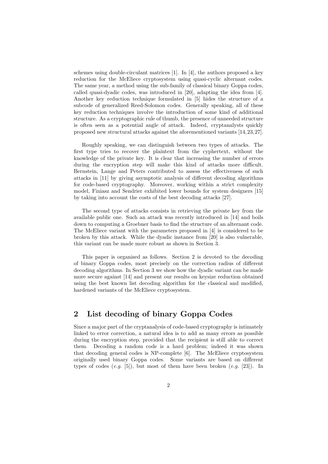schemes using double-circulant matrices [1]. In [4], the authors proposed a key reduction for the McEliece cryptosystem using quasi-cyclic alternant codes. The same year, a method using the sub-family of classical binary Goppa codes, called quasi-dyadic codes, was introduced in [20], adapting the idea from [4]. Another key reduction technique formulated in [5] hides the structure of a subcode of generalized Reed-Solomon codes. Generally speaking, all of these key reduction techniques involve the introduction of some kind of additional structure. As a cryptographic rule of thumb, the presence of unneeded structure is often seen as a potential angle of attack. Indeed, cryptanalysts quickly proposed new structural attacks against the aforementioned variants [14,23,27].

Roughly speaking, we can distinguish between two types of attacks. The first type tries to recover the plaintext from the cyphertext, without the knowledge of the private key. It is clear that increasing the number of errors during the encryption step will make this kind of attacks more difficult. Bernstein, Lange and Peters contributed to assess the effectiveness of such attacks in [11] by giving asymptotic analysis of different decoding algorithms for code-based cryptography. Moreover, working within a strict complexity model, Finiasz and Sendrier exhibited lower bounds for system designers [15] by taking into account the costs of the best decoding attacks [27].

The second type of attacks consists in retrieving the private key from the available public one. Such an attack was recently introduced in [14] and boils down to computing a Groebner basis to find the structure of an alternant code. The McEliece variant with the parameters proposed in [4] is considered to be broken by this attack. While the dyadic instance from [20] is also vulnerable, this variant can be made more robust as shown in Section 3.

This paper is organised as follows. Section 2 is devoted to the decoding of binary Goppa codes, most precisely on the correction radius of different decoding algorithms. In Section 3 we show how the dyadic variant can be made more secure against [14] and present our results on keysize reduction obtained using the best known list decoding algorithm for the classical and modified, hardened variants of the McEliece cryptosystem.

### 2 List decoding of binary Goppa Codes

Since a major part of the cryptanalysis of code-based cryptography is intimately linked to error correction, a natural idea is to add as many errors as possible during the encryption step, provided that the recipient is still able to correct them. Decoding a random code is a hard problem; indeed it was shown that decoding general codes is NP-complete [6]. The McEliece cryptosystem originally used binary Goppa codes. Some variants are based on different types of codes (*e.g.* [5]), but most of them have been broken (*e.g.* [23]). In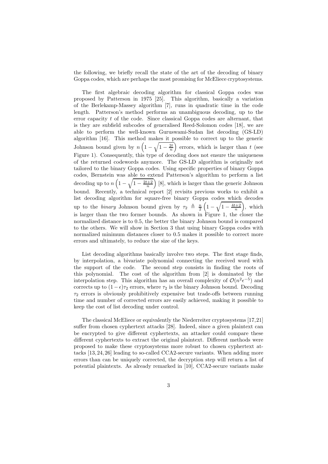the following, we briefly recall the state of the art of the decoding of binary Goppa codes, which are perhaps the most promising for McEliece cryptosystems.

The first algebraic decoding algorithm for classical Goppa codes was proposed by Patterson in 1975 [25]. This algorithm, basically a variation of the Berlekamp-Massey algorithm [7], runs in quadratic time in the code length. Patterson's method performs an unambiguous decoding, up to the error capacity t of the code. Since classical Goppa codes are alternant, that is they are subfield subcodes of generalised Reed-Solomon codes [18], we are able to perform the well-known Guruswami-Sudan list decoding (GS-LD) algorithm [16]. This method makes it possible to correct up to the generic Johnson bound given by  $n\left(1-\sqrt{1-\frac{2t}{n}}\right)$  errors, which is larger than t (see Figure 1). Consequently, this type of decoding does not ensure the uniqueness of the returned codewords anymore. The GS-LD algorithm is originally not tailored to the binary Goppa codes. Using specific properties of binary Goppa codes, Bernstein was able to extend Patterson's algorithm to perform a list decoding up to  $n\left(1-\sqrt{1-\frac{2t+2}{n}}\right)$  [8], which is larger than the generic Johnson bound. Recently, a technical report [2] revisits previous works to exhibit a list decoding algorithm for square-free binary Goppa codes which decodes up to the *binary* Johnson bound given by  $\tau_2 \triangleq \frac{n}{2} \left(1 - \sqrt{1 - \frac{4t+2}{n}}\right)$ , which is larger than the two former bounds. As shown in Figure 1, the closer the normalized distance is to 0.5, the better the binary Johnson bound is compared to the others. We will show in Section 3 that using binary Goppa codes with normalized minimum distances closer to 0.5 makes it possible to correct more errors and ultimately, to reduce the size of the keys.

List decoding algorithms basically involve two steps. The first stage finds, by interpolation, a bivariate polynomial connecting the received word with the support of the code. The second step consists in finding the roots of this polynomial. The cost of the algorithm from [2] is dominated by the interpolation step. This algorithm has an overall complexity of  $\mathcal{O}(n^2 \epsilon^{-5})$  and corrects up to  $(1 - \epsilon)\tau_2$  errors, where  $\tau_2$  is the binary Johnson bound. Decoding  $\tau_2$  errors is obviously prohibitively expensive but trade-offs between running time and number of corrected errors are easily achieved, making it possible to keep the cost of list decoding under control.

The classical McEliece or equivalently the Niederreiter cryptosystems [17,21] suffer from chosen cyphertext attacks [28]. Indeed, since a given plaintext can be encrypted to give different cyphertexts, an attacker could compare these different cyphertexts to extract the original plaintext. Different methods were proposed to make these cryptosystems more robust to chosen cyphertext attacks [13, 24, 26] leading to so-called CCA2-secure variants. When adding more errors than can be uniquely corrected, the decryption step will return a list of potential plaintexts. As already remarked in [10], CCA2-secure variants make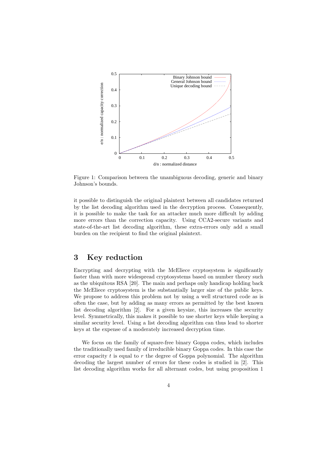

Figure 1: Comparison between the unambiguous decoding, generic and binary Johnson's bounds.

it possible to distinguish the original plaintext between all candidates returned by the list decoding algorithm used in the decryption process. Consequently, it is possible to make the task for an attacker much more difficult by adding more errors than the correction capacity. Using CCA2-secure variants and state-of-the-art list decoding algorithm, these extra-errors only add a small burden on the recipient to find the original plaintext.

### 3 Key reduction

Encrypting and decrypting with the McEliece cryptosystem is significantly faster than with more widespread cryptosystems based on number theory such as the ubiquitous RSA [20]. The main and perhaps only handicap holding back the McEliece cryptosystem is the substantially larger size of the public keys. We propose to address this problem not by using a well structured code as is often the case, but by adding as many errors as permitted by the best known list decoding algorithm [2]. For a given keysize, this increases the security level. Symmetrically, this makes it possible to use shorter keys while keeping a similar security level. Using a list decoding algorithm can thus lead to shorter keys at the expense of a moderately increased decryption time.

We focus on the family of square-free binary Goppa codes, which includes the traditionally used family of irreducible binary Goppa codes. In this case the error capacity  $t$  is equal to  $r$  the degree of Goppa polynomial. The algorithm decoding the largest number of errors for these codes is studied in [2]. This list decoding algorithm works for all alternant codes, but using proposition 1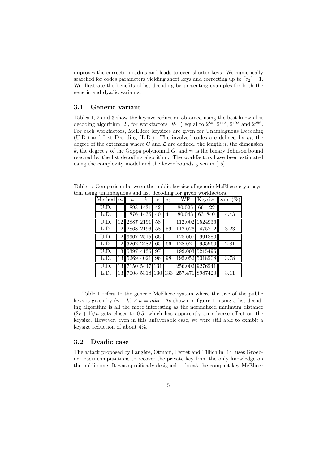improves the correction radius and leads to even shorter keys. We numerically searched for codes parameters yielding short keys and correcting up to  $\lceil \tau_2 \rceil - 1$ . We illustrate the benefits of list decoding by presenting examples for both the generic and dyadic variants.

#### 3.1 Generic variant

Tables 1, 2 and 3 show the keysize reduction obtained using the best known list decoding algorithm [2], for workfactors (WF) equal to  $2^{80}$ ,  $2^{112}$ ,  $2^{192}$  and  $2^{256}$ . For each workfactors, McEliece keysizes are given for Unambiguous Decoding  $(UD.)$  and List Decoding  $(L.D.).$  The involved codes are defined by m, the degree of the extension where G and  $\mathcal L$  are defined, the length n, the dimension k, the degree r of the Goppa polynomial  $G$ , and  $\tau_2$  is the binary Johnson bound reached by the list decoding algorithm. The workfactors have been estimated using the complexity model and the lower bounds given in [15].

Table 1: Comparison between the public keysize of generic McEliece cryptosystem using unambiguous and list decoding for given workfactors.

|                    |                 |                  |                  |                  | $\overline{\phantom{0}}$ | $\checkmark$ |                 |                     |
|--------------------|-----------------|------------------|------------------|------------------|--------------------------|--------------|-----------------|---------------------|
| Method             | m <sub>l</sub>  | $\boldsymbol{n}$ | $\boldsymbol{k}$ | $\boldsymbol{r}$ | $\tau_2$                 | WF           |                 | Keysize gain $(\%)$ |
| U.D.               | 11              | 1893             | 1431             | 42               |                          | 80.025       | 661122          |                     |
| L.D.               | 11              |                  | 1876 1436        | 40               | 41                       | 80.043       | 631840          | 4.43                |
| U.D.               |                 | 12 2887 2191     |                  | 58               |                          |              | 112.002 1524936 |                     |
| L.D.               | 12 <sub>1</sub> |                  | 2868 2196        | 58               | 59                       |              | 112.026 1475712 | 3.23                |
| $\overline{U}$ .D. |                 | 12 3307 2515     |                  | 66               |                          |              | 128.007 1991880 |                     |
| L.D.               |                 | 12 3262 2482     |                  | 65               | 66                       |              | 128.021 1935960 | 2.81                |
| U.D.               |                 | 13 5397 4136     |                  | 97               |                          |              | 192.003 5215496 |                     |
| L.D.               |                 | 13 5269          | 4021             | 96               | 98                       |              | 192.052 5018208 | 3.78                |
| U.D.               |                 | 13 7150 5447     |                  | 131              |                          |              | 256.002 9276241 |                     |
| L.D.               |                 | 13 7008 5318     |                  | 130              | 133 <sup> </sup>         |              | 257.471 8987420 | 3.11                |

Table 1 refers to the generic McEliece system where the size of the public keys is given by  $(n - k) \times k = mkr$ . As shown in figure 1, using a list decoding algorithm is all the more interesting as the normalized minimum distance  $(2r+1)/n$  gets closer to 0.5, which has apparently an adverse effect on the keysize. However, even in this unfavorable case, we were still able to exhibit a keysize reduction of about 4%.

#### 3.2 Dyadic case

The attack proposed by Faugère, Otmani, Perret and Tillich in [14] uses Groebner basis computations to recover the private key from the only knowledge on the public one. It was specifically designed to break the compact key McEliece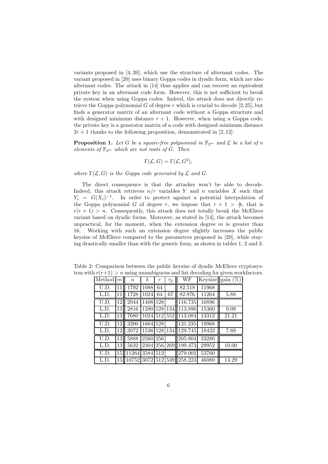variants proposed in [4, 20], which use the structure of alternant codes. The variant proposed in [20] uses binary Goppa codes in dyadic form, which are also alternant codes. The attack in [14] thus applies and can recover an equivalent private key in an alternant code form. However, this is not sufficient to break the system when using Goppa codes. Indeed, the attack does not directly retrieve the Goppa polynomial  $G$  of degree  $r$  which is crucial to decode [2,25], but finds a generator matrix of an alternant code without a Goppa structure and with designed minimum distance  $r + 1$ . However, when using a Goppa code, the private key is a generator matrix of a code with designed minimum distance  $2r + 1$  thanks to the following proposition, demonstrated in [2,12]:

**Proposition 1.** Let G be a square-free polynomial in  $\mathbb{F}_{2^m}$  and L be a list of n *elements of*  $\mathbb{F}_{2^m}$  *which are not roots of G. Then* 

$$
\Gamma(\mathcal{L}, G) = \Gamma(\mathcal{L}, G^2),
$$

*where*  $\Gamma(\mathcal{L}, G)$  *is the Goppa code generated by*  $\mathcal L$  *and*  $G$ *.* 

The direct consequence is that the attacker won't be able to decode. Indeed, this attack retrieves  $n/r$  variables Y and n variables X such that  $Y_i = G(X_i)^{-1}$ . In order to protect against a potential interpolation of the Goppa polynomial G of degree r, we impose that  $r + 1 > \frac{n}{r}$ , that is  $r(r + 1) > n$ . Consequently, this attack does not totally break the McEliece variant based on dyadic forms. Moreover, as stated in [14], the attack becomes unpractical, for the moment, when the extension degree  $m$  is greater than 16. Working with such an extension degree slightly increases the public keysize of McEliece compared to the parameters proposed in [20], while staying drastically smaller than with the generic form, as shown in tables 1, 2 and 3.

Table 2: Comparison between the public keysize of dyadic McEliece cryptosystem with  $r(r+1) > n$  using unambiguous and list decoding for given workfactors.

| Method            | m <sub>  </sub> | $\boldsymbol{n}$ | $\boldsymbol{k}$  | $\boldsymbol{r}$ | $\tau_2$ | WF                                      |       | Keysize gain $(\%)$ |
|-------------------|-----------------|------------------|-------------------|------------------|----------|-----------------------------------------|-------|---------------------|
| U.D.              | 11              | 1792             | 1088              | 64               |          | 82.518                                  | 11968 |                     |
| L.D.              | 11              | 1728             | $\overline{1024}$ | 64               | 67       | 82.976                                  | 11264 | 5.88                |
| U.D.              | 12              | 2944             | 1408              | 128              |          | 116.735                                 | 16896 |                     |
| L.D.              | 13              | 2816             | 1280              | 128              | 134      | 113.896                                 | 15360 | 9.09                |
| L.D.              | 13              | 7680             |                   |                  |          | 1024 512 552 113.084                    | 13312 | 21.21               |
| U.D.              | 12              | 3200             | 1664 128          |                  |          | 131.235                                 | 19968 |                     |
| L.D.              | 12              | 3072             | 1536 128          |                  |          | 134 129.745                             | 18432 | 7.69                |
| U.D.              | 13              | 5888             | 2560 256          |                  |          | 205.804                                 | 33280 |                     |
| L.D.              | 13              | 5632             | 2304 256 269      |                  |          | 199.473                                 | 29952 | 10.00               |
| $\overline{U.D.}$ | 15              | 11264 3584 512   |                   |                  |          | 279.002                                 | 53760 |                     |
| L.D.              |                 |                  |                   |                  |          | 15   10752   3072   512   539   258.223 | 46080 | 14.29               |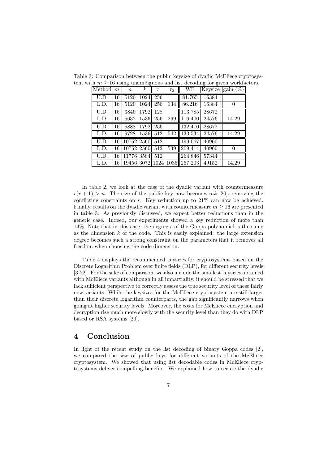| Method $ m $ |                 | $\boldsymbol{n}$  | $\boldsymbol{k}$ | $\boldsymbol{r}$ | $\tau_2$ | WF                                        |       | Keysize gain $(\%)$ |
|--------------|-----------------|-------------------|------------------|------------------|----------|-------------------------------------------|-------|---------------------|
| U.D.         | 16 <sup> </sup> | 5120              | 1024             | 256              |          | 81.765                                    | 16384 |                     |
| L.D.         | 16              | 5120              | 1024             | 256              | 134      | 86.216                                    | 16384 | $\Omega$            |
| U.D.         | 16              | 3840              | 1792             | 128              |          | 113.785                                   | 28672 |                     |
| L.D.         | 16              | 5632              | 1536             | 256              | 269      | 116.400                                   | 24576 | 14.29               |
| U.D.         | 16              | 5888              | 1792             | 256              |          | 132.470                                   | 28672 |                     |
| L.D.         | 16 <sup> </sup> | 9728              | 1536             | 512              | 542      | 133.534                                   | 24576 | 14.29               |
| U.D.         |                 | 16 10752 2560     |                  | 512              |          | 199.067                                   | 40960 |                     |
| L.D.         |                 | 16   10752   2560 |                  | 512              | 539      | 209.414                                   | 40960 | 0                   |
| U.D.         |                 | 16 11776 3584     |                  | 512              |          | 264.846                                   | 57344 |                     |
| L.D.         |                 |                   |                  |                  |          | 16   19456   3072   1024   1085   267.203 | 49152 | 14.29               |

Table 3: Comparison between the public keysize of dyadic McEliece cryptosystem with  $m \geq 16$  using unambiguous and list decoding for given workfactors.

In table 2, we look at the case of the dyadic variant with countermeasure  $r(r + 1) > n$ . The size of the public key now becomes mk [20], removing the conflicting constraints on  $r$ . Key reduction up to  $21\%$  can now be achieved. Finally, results on the dyadic variant with countermeasure  $m \geq 16$  are presented in table 3. As previously discussed, we expect better reductions than in the generic case. Indeed, our experiments showed a key reduction of more than 14%. Note that in this case, the degree  $r$  of the Goppa polynomial is the same as the dimension  $k$  of the code. This is easily explained: the large extension degree becomes such a strong constraint on the parameters that it removes all freedom when choosing the code dimension.

Table 4 displays the recommended keysizes for cryptosystems based on the Discrete Logarithm Problem over finite fields (DLP), for different security levels [3,22]. For the sake of comparison, we also include the smallest keysizes obtained with McEliece variants although in all impartiality, it should be stressed that we lack sufficient perspective to correctly assess the true security level of these fairly new variants. While the keysizes for the McEliece cryptosystem are still larger than their discrete logarithm counterparts, the gap significantly narrows when going at higher security levels. Moreover, the costs for McEliece encryption and decryption rise much more slowly with the security level than they do with DLP based or RSA systems [20].

### 4 Conclusion

In light of the recent study on the list decoding of binary Goppa codes [2], we compared the size of public keys for different variants of the McEliece cryptosystem. We showed that using list decodable codes in McEliece cryptosystems deliver compelling benefits. We explained how to secure the dyadic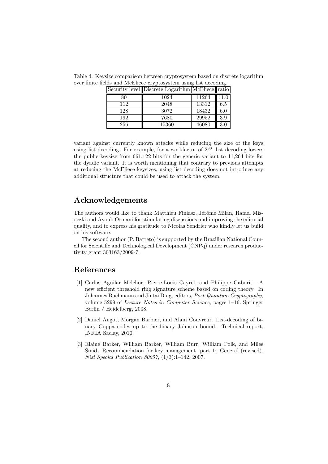|     | Security level Discrete Logarithm McEliece ratio |       |         |
|-----|--------------------------------------------------|-------|---------|
| 80  | 1024                                             | 11264 |         |
| 112 | 2048                                             | 13312 | 6.5     |
| 128 | 3072                                             | 18432 | $6.0\,$ |
| 192 | 7680                                             | 29952 | 3.9     |
| 256 | 15360                                            | 46080 | 3.0     |

Table 4: Keysize comparison between cryptosystem based on discrete logarithm over finite fields and McEliece cryptosystem using list decoding.

variant against currently known attacks while reducing the size of the keys using list decoding. For example, for a workfactor of  $2^{80}$ , list decoding lowers the public keysize from 661,122 bits for the generic variant to 11,264 bits for the dyadic variant. It is worth mentioning that contrary to previous attempts at reducing the McEliece keysizes, using list decoding does not introduce any additional structure that could be used to attack the system.

#### Acknowledgements

The authors would like to thank Matthieu Finiasz, Jérôme Milan, Rafael Misoczki and Ayoub Otmani for stimulating discussions and improving the editorial quality, and to express his gratitude to Nicolas Sendrier who kindly let us build on his software.

The second author (P. Barreto) is supported by the Brazilian National Council for Scientific and Technological Development (CNPq) under research productivity grant 303163/2009-7.

#### References

- [1] Carlos Aguilar Melchor, Pierre-Louis Cayrel, and Philippe Gaborit. A new efficient threshold ring signature scheme based on coding theory. In Johannes Buchmann and Jintai Ding, editors, *Post-Quantum Cryptography*, volume 5299 of *Lecture Notes in Computer Science*, pages 1–16. Springer Berlin / Heidelberg, 2008.
- [2] Daniel Augot, Morgan Barbier, and Alain Couvreur. List-decoding of binary Goppa codes up to the binary Johnson bound. Technical report, INRIA Saclay, 2010.
- [3] Elaine Barker, William Barker, William Burr, William Polk, and Miles Smid. Recommendation for key management part 1: General (revised). *Nist Special Publication 80057*, (1/3):1–142, 2007.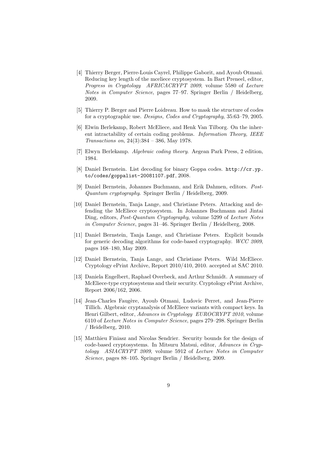- [4] Thierry Berger, Pierre-Louis Cayrel, Philippe Gaborit, and Ayoub Otmani. Reducing key length of the mceliece cryptosystem. In Bart Preneel, editor, *Progress in Cryptology AFRICACRYPT 2009*, volume 5580 of *Lecture Notes in Computer Science*, pages 77–97. Springer Berlin / Heidelberg, 2009.
- [5] Thierry P. Berger and Pierre Loidreau. How to mask the structure of codes for a cryptographic use. *Designs, Codes and Cryptography*, 35:63–79, 2005.
- [6] Elwin Berlekamp, Robert McEliece, and Henk Van Tilborg. On the inherent intractability of certain coding problems. *Information Theory, IEEE Transactions on*, 24(3):384 – 386, May 1978.
- [7] Elwyn Berlekamp. *Algebraic coding theory*. Aegean Park Press, 2 edition, 1984.
- [8] Daniel Bernstein. List decoding for binary Goppa codes. http://cr.yp. to/codes/goppalist-20081107.pdf, 2008.
- [9] Daniel Bernstein, Johannes Buchmann, and Erik Dahmen, editors. *Post-Quantum cryptography*. Springer Berlin / Heidelberg, 2009.
- [10] Daniel Bernstein, Tanja Lange, and Christiane Peters. Attacking and defending the McEliece cryptosystem. In Johannes Buchmann and Jintai Ding, editors, *Post-Quantum Cryptography*, volume 5299 of *Lecture Notes in Computer Science*, pages 31–46. Springer Berlin / Heidelberg, 2008.
- [11] Daniel Bernstein, Tanja Lange, and Christiane Peters. Explicit bounds for generic decoding algorithms for code-based cryptography. *WCC 2009*, pages 168–180, May 2009.
- [12] Daniel Bernstein, Tanja Lange, and Christiane Peters. Wild McEliece. Cryptology ePrint Archive, Report 2010/410, 2010. accepted at SAC 2010.
- [13] Daniela Engelbert, Raphael Overbeck, and Arthur Schmidt. A summary of McEliece-type cryptosystems and their security. Cryptology ePrint Archive, Report 2006/162, 2006.
- [14] Jean-Charles Faugère, Ayoub Otmani, Ludovic Perret, and Jean-Pierre Tillich. Algebraic cryptanalysis of McEliece variants with compact keys. In Henri Gilbert, editor, *Advances in Cryptology EUROCRYPT 2010*, volume 6110 of *Lecture Notes in Computer Science*, pages 279–298. Springer Berlin / Heidelberg, 2010.
- [15] Matthieu Finiasz and Nicolas Sendrier. Security bounds for the design of code-based cryptosystems. In Mitsuru Matsui, editor, *Advances in Cryptology ASIACRYPT 2009*, volume 5912 of *Lecture Notes in Computer Science*, pages 88–105. Springer Berlin / Heidelberg, 2009.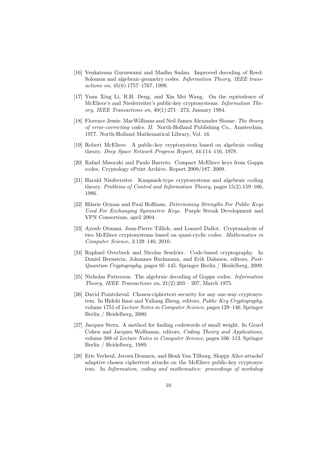- [16] Venkatesan Guruswami and Madhu Sudan. Improved decoding of Reed-Solomon and algebraic-geometry codes. *Information Theory, IEEE transactions on*, 45(6):1757–1767, 1999.
- [17] Yuan Xing Li, R.H. Deng, and Xin Mei Wang. On the equivalence of McEliece's and Niederreiter's public-key cryptosystems. *Information Theory, IEEE Transactions on*, 40(1):271 –273, January 1994.
- [18] Florence Jessie. MacWilliams and Neil James Alexander Sloane. *The theory of error-correcting codes. II*. North-Holland Publishing Co., Amsterdam, 1977. North-Holland Mathematical Library, Vol. 16.
- [19] Robert McEliece. A public-key cryptosystem based on algebraic coding theory. *Deep Space Network Progress Report*, 44:114–116, 1978.
- [20] Rafael Misoczki and Paulo Barreto. Compact McEliece keys from Goppa codes. Cryptology ePrint Archive, Report 2009/187, 2009.
- [21] Harald Niederreiter. Knapsack-type cryptosystems and algebraic coding theory. *Problems of Control and Information Theory*, pages 15(2):159–166, 1986.
- [22] Hilarie Orman and Paul Hoffman. *Determining Strengths For Public Keys Used For Exchanging Symmetric Keys*. Purple Streak Development and VPN Consortium, april 2004.
- [23] Ayoub Otmani, Jean-Pierre Tillich, and Lonard Dallot. Cryptanalysis of two McEliece cryptosystems based on quasi-cyclic codes. *Mathematics in Computer Science*, 3:129–140, 2010.
- [24] Raphael Overbeck and Nicolas Sendrier. Code-based cryptography. In Daniel Bernstein, Johannes Buchmann, and Erik Dahmen, editors, *Post-Quantum Cryptography*, pages 95–145. Springer Berlin / Heidelberg, 2009.
- [25] Nicholas Patterson. The algebraic decoding of Goppa codes. *Information Theory, IEEE Transactions on*, 21(2):203 – 207, March 1975.
- [26] David Pointcheval. Chosen-ciphertext security for any one-way cryptosystem. In Hideki Imai and Yuliang Zheng, editors, *Public Key Cryptography*, volume 1751 of *Lecture Notes in Computer Science*, pages 129–146. Springer Berlin / Heidelberg, 2000.
- [27] Jacques Stern. A method for finding codewords of small weight. In Grard Cohen and Jacques Wolfmann, editors, *Coding Theory and Applications*, volume 388 of *Lecture Notes in Computer Science*, pages 106–113. Springer Berlin / Heidelberg, 1989.
- [28] Eric Verheul, Jeroen Doumen, and Henk Van Tilborg. Sloppy Alice attacks! adaptive chosen ciphertext attacks on the McEliece public-key cryptosystem. In *Information, coding and mathematics: proceedings of workshop*